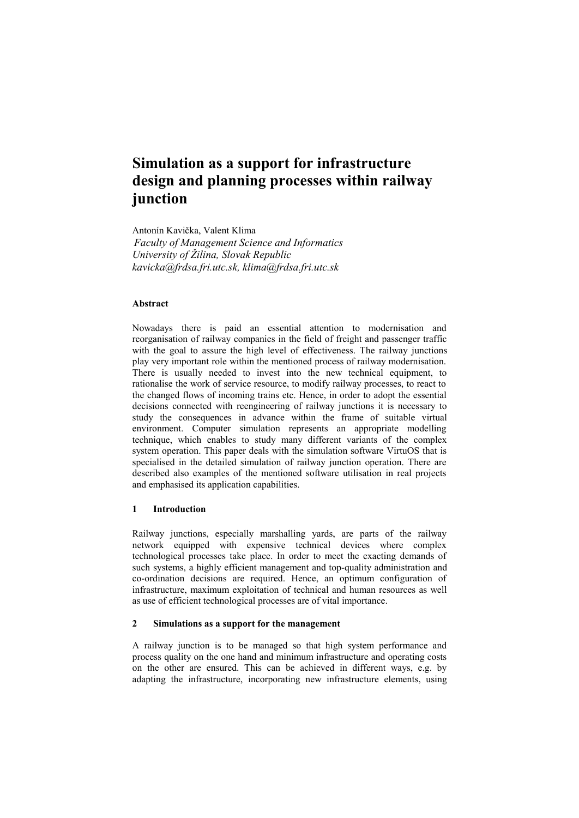# **Simulation as a support for infrastructure design and planning processes within railway junction**

Antonín Kavička, Valent Klima *Faculty of Management Science and Informatics University of Žilina, Slovak Republic kavicka@frdsa.fri.utc.sk, klima@frdsa.fri.utc.sk* 

# **Abstract**

Nowadays there is paid an essential attention to modernisation and reorganisation of railway companies in the field of freight and passenger traffic with the goal to assure the high level of effectiveness. The railway junctions play very important role within the mentioned process of railway modernisation. There is usually needed to invest into the new technical equipment, to rationalise the work of service resource, to modify railway processes, to react to the changed flows of incoming trains etc. Hence, in order to adopt the essential decisions connected with reengineering of railway junctions it is necessary to study the consequences in advance within the frame of suitable virtual environment. Computer simulation represents an appropriate modelling technique, which enables to study many different variants of the complex system operation. This paper deals with the simulation software VirtuOS that is specialised in the detailed simulation of railway junction operation. There are described also examples of the mentioned software utilisation in real projects and emphasised its application capabilities.

#### **1 Introduction**

Railway junctions, especially marshalling yards, are parts of the railway network equipped with expensive technical devices where complex technological processes take place. In order to meet the exacting demands of such systems, a highly efficient management and top-quality administration and co-ordination decisions are required. Hence, an optimum configuration of infrastructure, maximum exploitation of technical and human resources as well as use of efficient technological processes are of vital importance.

# **2 Simulations as a support for the management**

A railway junction is to be managed so that high system performance and process quality on the one hand and minimum infrastructure and operating costs on the other are ensured. This can be achieved in different ways, e.g. by adapting the infrastructure, incorporating new infrastructure elements, using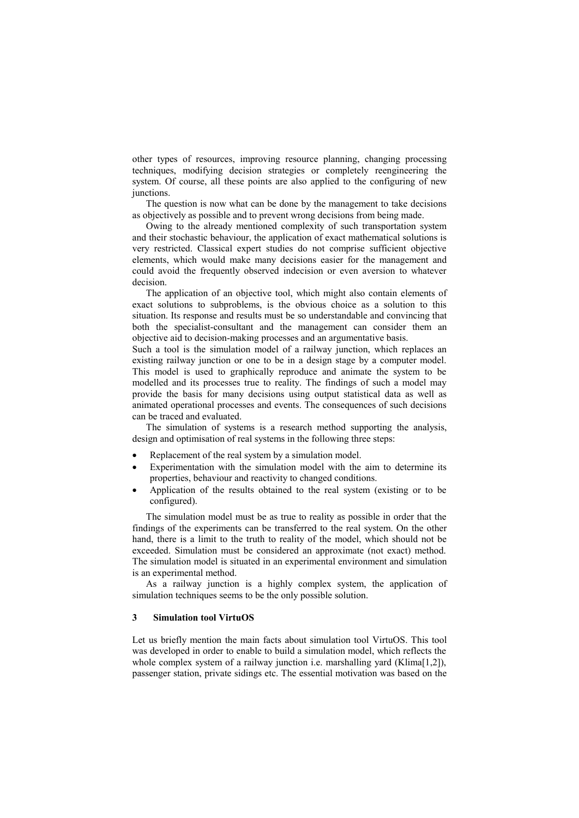other types of resources, improving resource planning, changing processing techniques, modifying decision strategies or completely reengineering the system. Of course, all these points are also applied to the configuring of new junctions.

The question is now what can be done by the management to take decisions as objectively as possible and to prevent wrong decisions from being made.

Owing to the already mentioned complexity of such transportation system and their stochastic behaviour, the application of exact mathematical solutions is very restricted. Classical expert studies do not comprise sufficient objective elements, which would make many decisions easier for the management and could avoid the frequently observed indecision or even aversion to whatever decision.

The application of an objective tool, which might also contain elements of exact solutions to subproblems, is the obvious choice as a solution to this situation. Its response and results must be so understandable and convincing that both the specialist-consultant and the management can consider them an objective aid to decision-making processes and an argumentative basis.

Such a tool is the simulation model of a railway junction, which replaces an existing railway junction or one to be in a design stage by a computer model. This model is used to graphically reproduce and animate the system to be modelled and its processes true to reality. The findings of such a model may provide the basis for many decisions using output statistical data as well as animated operational processes and events. The consequences of such decisions can be traced and evaluated.

The simulation of systems is a research method supporting the analysis, design and optimisation of real systems in the following three steps:

- Replacement of the real system by a simulation model.
- Experimentation with the simulation model with the aim to determine its properties, behaviour and reactivity to changed conditions.
- Application of the results obtained to the real system (existing or to be configured).

The simulation model must be as true to reality as possible in order that the findings of the experiments can be transferred to the real system. On the other hand, there is a limit to the truth to reality of the model, which should not be exceeded. Simulation must be considered an approximate (not exact) method. The simulation model is situated in an experimental environment and simulation is an experimental method.

As a railway junction is a highly complex system, the application of simulation techniques seems to be the only possible solution.

#### **3 Simulation tool VirtuOS**

Let us briefly mention the main facts about simulation tool VirtuOS. This tool was developed in order to enable to build a simulation model, which reflects the whole complex system of a railway junction i.e. marshalling yard (Klima[1,2]), passenger station, private sidings etc. The essential motivation was based on the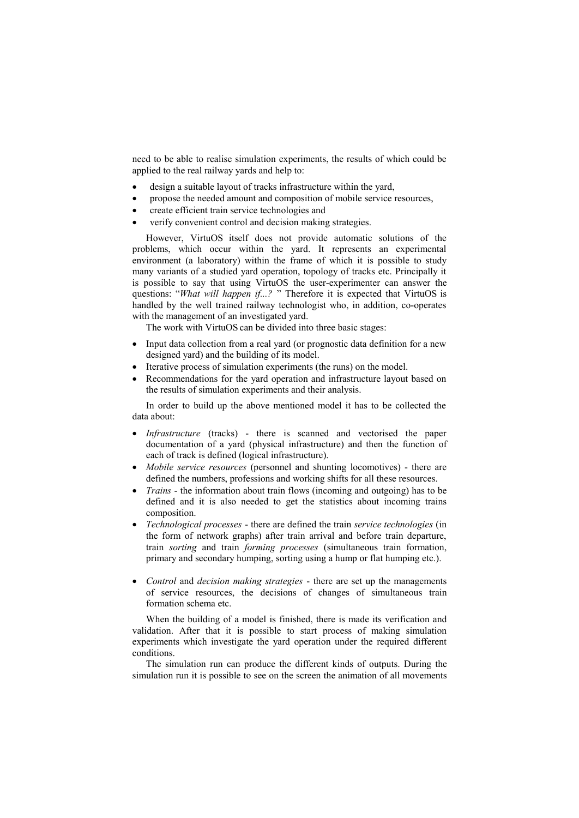need to be able to realise simulation experiments, the results of which could be applied to the real railway yards and help to:

- design a suitable layout of tracks infrastructure within the yard,
- · propose the needed amount and composition of mobile service resources,
- create efficient train service technologies and
- verify convenient control and decision making strategies.

However, VirtuOS itself does not provide automatic solutions of the problems, which occur within the yard. It represents an experimental environment (a laboratory) within the frame of which it is possible to study many variants of a studied yard operation, topology of tracks etc. Principally it is possible to say that using VirtuOS the user-experimenter can answer the questions: "*What* will happen if...? " Therefore it is expected that VirtuOS is handled by the well trained railway technologist who, in addition, co-operates with the management of an investigated yard.

The work with VirtuOS can be divided into three basic stages:

- · Input data collection from a real yard (or prognostic data definition for a new designed yard) and the building of its model.
- Iterative process of simulation experiments (the runs) on the model.
- Recommendations for the yard operation and infrastructure layout based on the results of simulation experiments and their analysis.

In order to build up the above mentioned model it has to be collected the data about:

- · *Infrastructure* (tracks) there is scanned and vectorised the paper documentation of a yard (physical infrastructure) and then the function of each of track is defined (logical infrastructure).
- · *Mobile service resources* (personnel and shunting locomotives) there are defined the numbers, professions and working shifts for all these resources.
- · *Trains* the information about train flows (incoming and outgoing) has to be defined and it is also needed to get the statistics about incoming trains composition.
- · *Technological processes* there are defined the train *service technologies* (in the form of network graphs) after train arrival and before train departure, train *sorting* and train *forming processes* (simultaneous train formation, primary and secondary humping, sorting using a hump or flat humping etc.).
- · *Control* and *decision making strategies* there are set up the managements of service resources, the decisions of changes of simultaneous train formation schema etc.

When the building of a model is finished, there is made its verification and validation. After that it is possible to start process of making simulation experiments which investigate the yard operation under the required different conditions.

The simulation run can produce the different kinds of outputs. During the simulation run it is possible to see on the screen the animation of all movements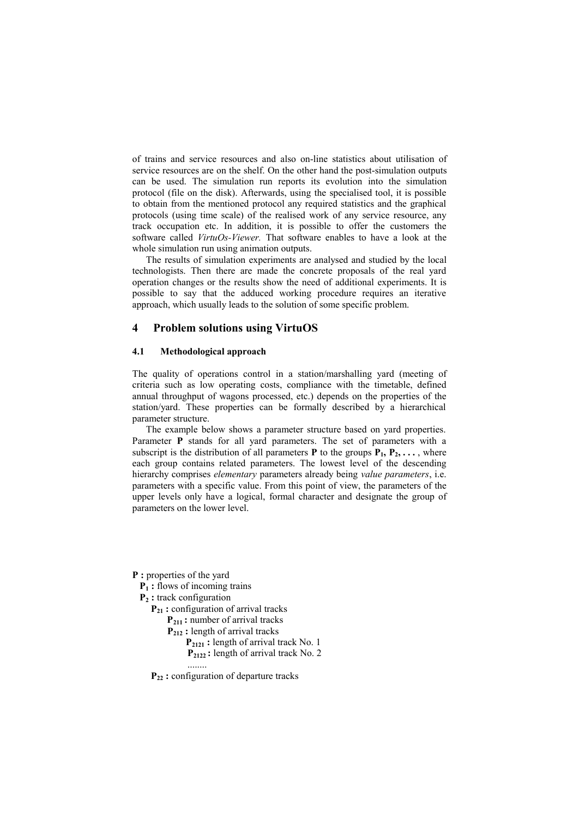of trains and service resources and also on-line statistics about utilisation of service resources are on the shelf. On the other hand the post-simulation outputs can be used. The simulation run reports its evolution into the simulation protocol (file on the disk). Afterwards, using the specialised tool, it is possible to obtain from the mentioned protocol any required statistics and the graphical protocols (using time scale) of the realised work of any service resource, any track occupation etc. In addition, it is possible to offer the customers the software called *VirtuOs-Viewer.* That software enables to have a look at the whole simulation run using animation outputs.

The results of simulation experiments are analysed and studied by the local technologists. Then there are made the concrete proposals of the real yard operation changes or the results show the need of additional experiments. It is possible to say that the adduced working procedure requires an iterative approach, which usually leads to the solution of some specific problem.

## **4 Problem solutions using VirtuOS**

## **4.1 Methodological approach**

The quality of operations control in a station/marshalling yard (meeting of criteria such as low operating costs, compliance with the timetable, defined annual throughput of wagons processed, etc.) depends on the properties of the station/yard. These properties can be formally described by a hierarchical parameter structure.

The example below shows a parameter structure based on yard properties. Parameter **P** stands for all yard parameters. The set of parameters with a subscript is the distribution of all parameters **P** to the groups  $P_1, P_2, \ldots$ , where each group contains related parameters. The lowest level of the descending hierarchy comprises *elementary* parameters already being *value parameters*, i.e. parameters with a specific value. From this point of view, the parameters of the upper levels only have a logical, formal character and designate the group of parameters on the lower level.

**P :** properties of the yard

 **P1 :** flows of incoming trains

**P2 :** track configuration

 **P21 :** configuration of arrival tracks

 **P211 :** number of arrival tracks

 **P212 :** length of arrival tracks

 **P2121 :** length of arrival track No. 1 **P2122 :** length of arrival track No. 2

........

 **P22 :** configuration of departure tracks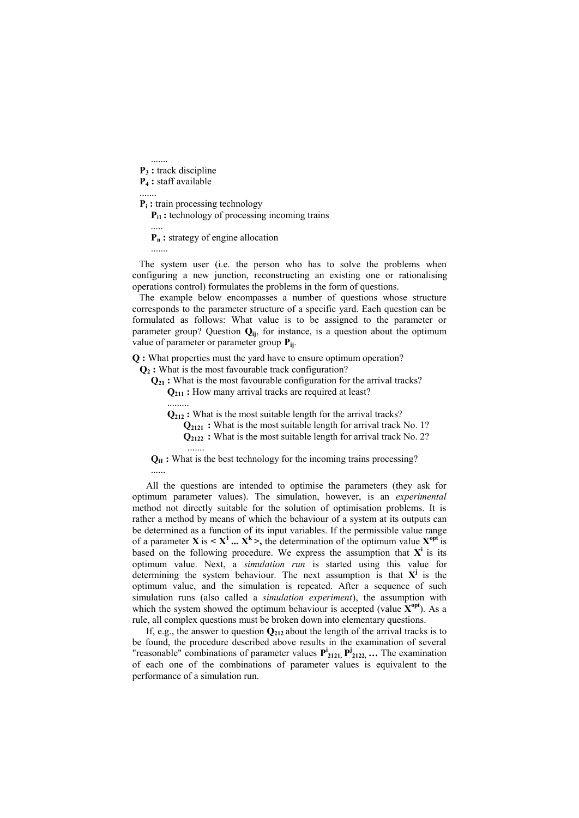.......  **P3 :** track discipline  **P4 :** staff available .......

**P<sub>i</sub>**: train processing technology

**P**<sub>i1</sub>: technology of processing incoming trains

 **Pn :** strategy of engine allocation

.......

.....

The system user (i.e. the person who has to solve the problems when configuring a new junction, reconstructing an existing one or rationalising operations control) formulates the problems in the form of questions.

The example below encompasses a number of questions whose structure corresponds to the parameter structure of a specific yard. Each question can be formulated as follows: What value is to be assigned to the parameter or parameter group? Question  $Q_{ii}$ , for instance, is a question about the optimum value of parameter or parameter group **Pij**.

**Q :** What properties must the yard have to ensure optimum operation?

 **Q2 :** What is the most favourable track configuration?

 **Q21 :** What is the most favourable configuration for the arrival tracks?  **Q211 :** How many arrival tracks are required at least? .........

 **Q212 :** What is the most suitable length for the arrival tracks?

**Q**<sub>2121</sub> : What is the most suitable length for arrival track No. 1?  **Q2122 :** What is the most suitable length for arrival track No. 2? .......

 **Qi1 :** What is the best technology for the incoming trains processing? ......

All the questions are intended to optimise the parameters (they ask for optimum parameter values). The simulation, however, is an *experimental* method not directly suitable for the solution of optimisation problems. It is rather a method by means of which the behaviour of a system at its outputs can be determined as a function of its input variables. If the permissible value range of a parameter **X** is  $\langle X^1, \ldots, X^k \rangle$ , the determination of the optimum value  $X^{\text{opt}}$  is based on the following procedure. We express the assumption that  $X^i$  is its optimum value. Next, a *simulation run* is started using this value for determining the system behaviour. The next assumption is that  $X^j$  is the optimum value, and the simulation is repeated. After a sequence of such simulation runs (also called a *simulation experiment*), the assumption with which the system showed the optimum behaviour is accepted (value  $\mathbf{X}^{\text{opt}}$ ). As a rule, all complex questions must be broken down into elementary questions.

If, e.g., the answer to question **Q<sup>212</sup>** about the length of the arrival tracks is to be found, the procedure described above results in the examination of several "reasonable" combinations of parameter values  $P_{2121}^i$ ,  $P_{2122}^j$ ,  $\ldots$  The examination of each one of the combinations of parameter values is equivalent to the performance of a simulation run.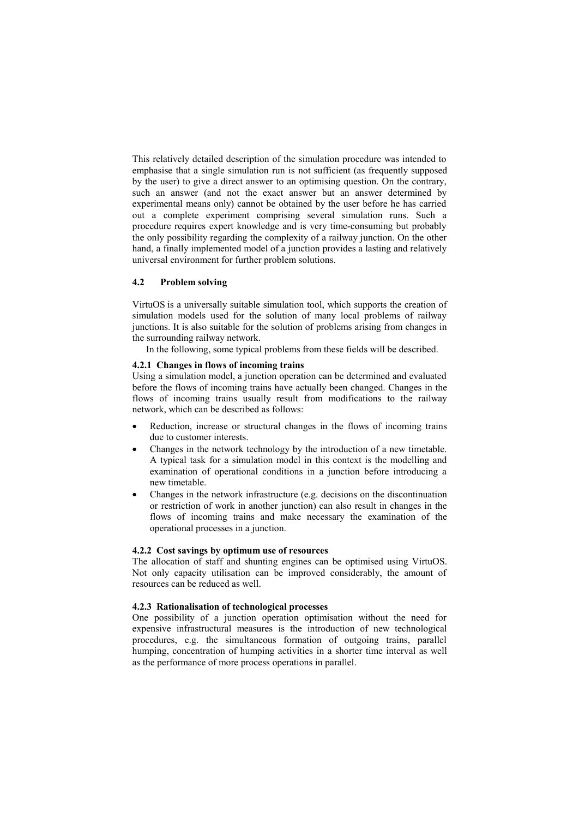This relatively detailed description of the simulation procedure was intended to emphasise that a single simulation run is not sufficient (as frequently supposed by the user) to give a direct answer to an optimising question. On the contrary, such an answer (and not the exact answer but an answer determined by experimental means only) cannot be obtained by the user before he has carried out a complete experiment comprising several simulation runs. Such a procedure requires expert knowledge and is very time-consuming but probably the only possibility regarding the complexity of a railway junction. On the other hand, a finally implemented model of a junction provides a lasting and relatively universal environment for further problem solutions.

## **4.2 Problem solving**

VirtuOS is a universally suitable simulation tool, which supports the creation of simulation models used for the solution of many local problems of railway junctions. It is also suitable for the solution of problems arising from changes in the surrounding railway network.

In the following, some typical problems from these fields will be described.

#### **4.2.1 Changes in flows of incoming trains**

Using a simulation model, a junction operation can be determined and evaluated before the flows of incoming trains have actually been changed. Changes in the flows of incoming trains usually result from modifications to the railway network, which can be described as follows:

- Reduction, increase or structural changes in the flows of incoming trains due to customer interests.
- Changes in the network technology by the introduction of a new timetable. A typical task for a simulation model in this context is the modelling and examination of operational conditions in a junction before introducing a new timetable.
- · Changes in the network infrastructure (e.g. decisions on the discontinuation or restriction of work in another junction) can also result in changes in the flows of incoming trains and make necessary the examination of the operational processes in a junction.

#### **4.2.2 Cost savings by optimum use of resources**

The allocation of staff and shunting engines can be optimised using VirtuOS. Not only capacity utilisation can be improved considerably, the amount of resources can be reduced as well.

## **4.2.3 Rationalisation of technological processes**

One possibility of a junction operation optimisation without the need for expensive infrastructural measures is the introduction of new technological procedures, e.g. the simultaneous formation of outgoing trains, parallel humping, concentration of humping activities in a shorter time interval as well as the performance of more process operations in parallel.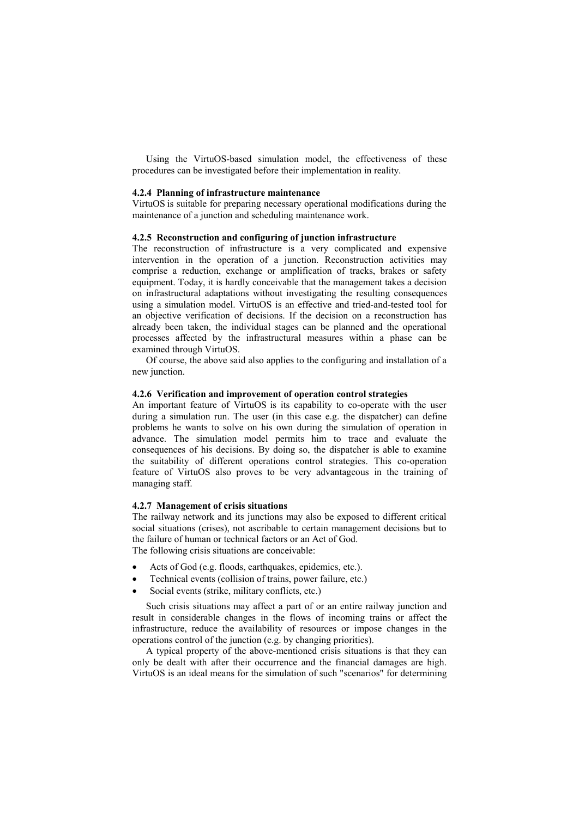Using the VirtuOS-based simulation model, the effectiveness of these procedures can be investigated before their implementation in reality.

#### **4.2.4 Planning of infrastructure maintenance**

VirtuOS is suitable for preparing necessary operational modifications during the maintenance of a junction and scheduling maintenance work.

## **4.2.5 Reconstruction and configuring of junction infrastructure**

The reconstruction of infrastructure is a very complicated and expensive intervention in the operation of a junction. Reconstruction activities may comprise a reduction, exchange or amplification of tracks, brakes or safety equipment. Today, it is hardly conceivable that the management takes a decision on infrastructural adaptations without investigating the resulting consequences using a simulation model. VirtuOS is an effective and tried-and-tested tool for an objective verification of decisions. If the decision on a reconstruction has already been taken, the individual stages can be planned and the operational processes affected by the infrastructural measures within a phase can be examined through VirtuOS.

Of course, the above said also applies to the configuring and installation of a new junction.

## **4.2.6 Verification and improvement of operation control strategies**

An important feature of VirtuOS is its capability to co-operate with the user during a simulation run. The user (in this case e.g. the dispatcher) can define problems he wants to solve on his own during the simulation of operation in advance. The simulation model permits him to trace and evaluate the consequences of his decisions. By doing so, the dispatcher is able to examine the suitability of different operations control strategies. This co-operation feature of VirtuOS also proves to be very advantageous in the training of managing staff.

#### **4.2.7 Management of crisis situations**

The railway network and its junctions may also be exposed to different critical social situations (crises), not ascribable to certain management decisions but to the failure of human or technical factors or an Act of God.

The following crisis situations are conceivable:

- Acts of God (e.g. floods, earthquakes, epidemics, etc.).
- Technical events (collision of trains, power failure, etc.)
- Social events (strike, military conflicts, etc.)

Such crisis situations may affect a part of or an entire railway junction and result in considerable changes in the flows of incoming trains or affect the infrastructure, reduce the availability of resources or impose changes in the operations control of the junction (e.g. by changing priorities).

A typical property of the above-mentioned crisis situations is that they can only be dealt with after their occurrence and the financial damages are high. VirtuOS is an ideal means for the simulation of such "scenarios" for determining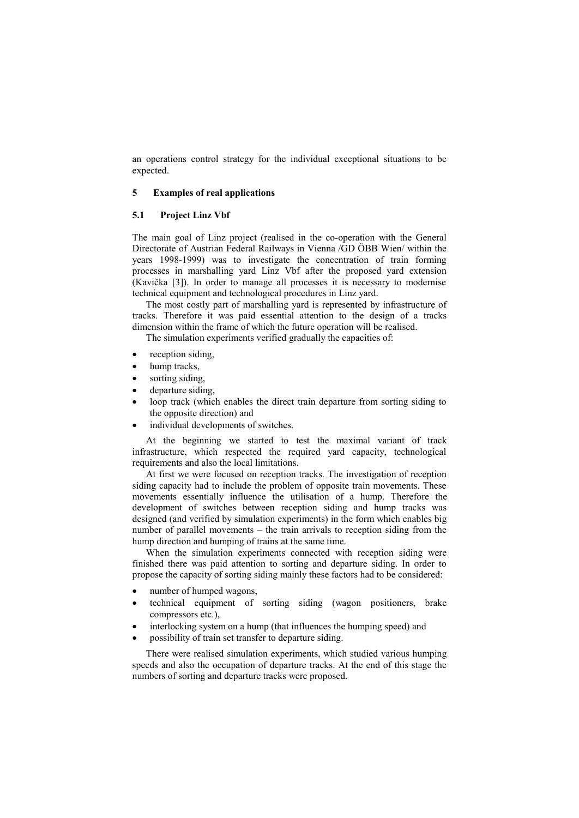an operations control strategy for the individual exceptional situations to be expected.

## **5 Examples of real applications**

#### **5.1 Project Linz Vbf**

The main goal of Linz project (realised in the co-operation with the General Directorate of Austrian Federal Railways in Vienna /GD ÖBB Wien/ within the years 1998-1999) was to investigate the concentration of train forming processes in marshalling yard Linz Vbf after the proposed yard extension (Kavička [3]). In order to manage all processes it is necessary to modernise technical equipment and technological procedures in Linz yard.

The most costly part of marshalling yard is represented by infrastructure of tracks. Therefore it was paid essential attention to the design of a tracks dimension within the frame of which the future operation will be realised.

The simulation experiments verified gradually the capacities of:

- reception siding,
- hump tracks,
- sorting siding,
- departure siding,
- loop track (which enables the direct train departure from sorting siding to the opposite direction) and
- individual developments of switches.

At the beginning we started to test the maximal variant of track infrastructure, which respected the required yard capacity, technological requirements and also the local limitations.

At first we were focused on reception tracks. The investigation of reception siding capacity had to include the problem of opposite train movements. These movements essentially influence the utilisation of a hump. Therefore the development of switches between reception siding and hump tracks was designed (and verified by simulation experiments) in the form which enables big number of parallel movements – the train arrivals to reception siding from the hump direction and humping of trains at the same time.

When the simulation experiments connected with reception siding were finished there was paid attention to sorting and departure siding. In order to propose the capacity of sorting siding mainly these factors had to be considered:

- number of humped wagons,
- technical equipment of sorting siding (wagon positioners, brake compressors etc.),
- interlocking system on a hump (that influences the humping speed) and
- possibility of train set transfer to departure siding.

There were realised simulation experiments, which studied various humping speeds and also the occupation of departure tracks. At the end of this stage the numbers of sorting and departure tracks were proposed.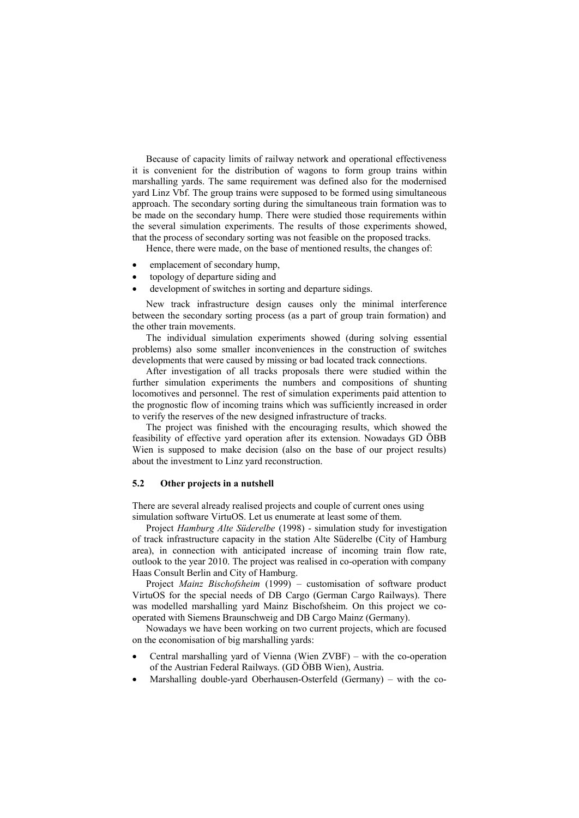Because of capacity limits of railway network and operational effectiveness it is convenient for the distribution of wagons to form group trains within marshalling yards. The same requirement was defined also for the modernised yard Linz Vbf. The group trains were supposed to be formed using simultaneous approach. The secondary sorting during the simultaneous train formation was to be made on the secondary hump. There were studied those requirements within the several simulation experiments. The results of those experiments showed, that the process of secondary sorting was not feasible on the proposed tracks.

Hence, there were made, on the base of mentioned results, the changes of:

- emplacement of secondary hump,
- topology of departure siding and
- development of switches in sorting and departure sidings.

New track infrastructure design causes only the minimal interference between the secondary sorting process (as a part of group train formation) and the other train movements.

The individual simulation experiments showed (during solving essential problems) also some smaller inconveniences in the construction of switches developments that were caused by missing or bad located track connections.

After investigation of all tracks proposals there were studied within the further simulation experiments the numbers and compositions of shunting locomotives and personnel. The rest of simulation experiments paid attention to the prognostic flow of incoming trains which was sufficiently increased in order to verify the reserves of the new designed infrastructure of tracks.

The project was finished with the encouraging results, which showed the feasibility of effective yard operation after its extension. Nowadays GD ÖBB Wien is supposed to make decision (also on the base of our project results) about the investment to Linz yard reconstruction.

## **5.2 Other projects in a nutshell**

There are several already realised projects and couple of current ones using simulation software VirtuOS. Let us enumerate at least some of them.

Project *Hamburg Alte Süderelbe* (1998) - simulation study for investigation of track infrastructure capacity in the station Alte Süderelbe (City of Hamburg area), in connection with anticipated increase of incoming train flow rate, outlook to the year 2010. The project was realised in co-operation with company Haas Consult Berlin and City of Hamburg.

Project *Mainz Bischofsheim* (1999) – customisation of software product VirtuOS for the special needs of DB Cargo (German Cargo Railways). There was modelled marshalling yard Mainz Bischofsheim. On this project we cooperated with Siemens Braunschweig and DB Cargo Mainz (Germany).

Nowadays we have been working on two current projects, which are focused on the economisation of big marshalling yards:

- · Central marshalling yard of Vienna (Wien ZVBF) with the co-operation of the Austrian Federal Railways. (GD ÖBB Wien), Austria.
- Marshalling double-yard Oberhausen-Osterfeld (Germany) with the co-